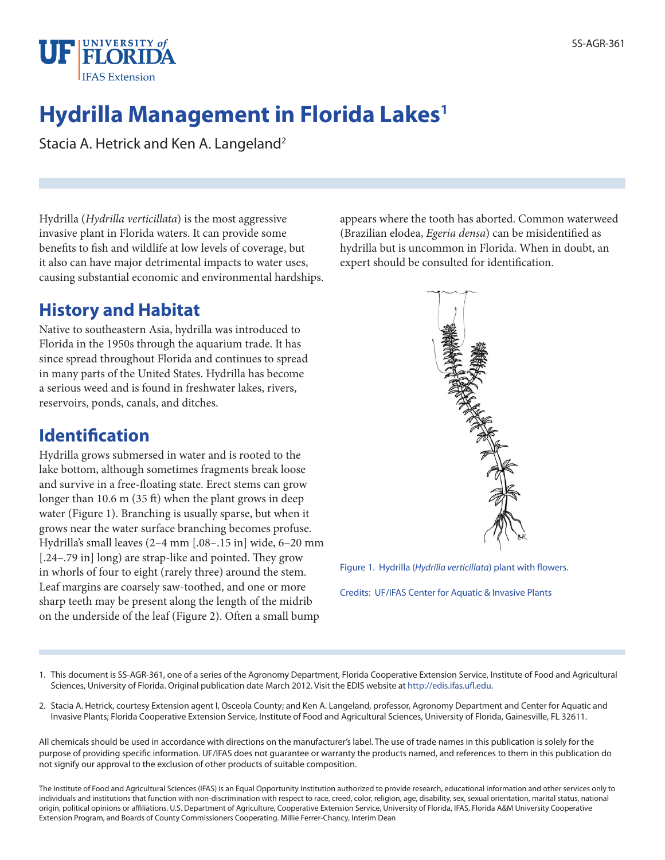

# **Hydrilla Management in Florida Lakes1**

Stacia A. Hetrick and Ken A. Langeland<sup>2</sup>

Hydrilla (*Hydrilla verticillata*) is the most aggressive invasive plant in Florida waters. It can provide some benefits to fish and wildlife at low levels of coverage, but it also can have major detrimental impacts to water uses, causing substantial economic and environmental hardships.

## **History and Habitat**

Native to southeastern Asia, hydrilla was introduced to Florida in the 1950s through the aquarium trade. It has since spread throughout Florida and continues to spread in many parts of the United States. Hydrilla has become a serious weed and is found in freshwater lakes, rivers, reservoirs, ponds, canals, and ditches.

## **Identification**

Hydrilla grows submersed in water and is rooted to the lake bottom, although sometimes fragments break loose and survive in a free-floating state. Erect stems can grow longer than 10.6 m (35 ft) when the plant grows in deep water (Figure 1). Branching is usually sparse, but when it grows near the water surface branching becomes profuse. Hydrilla's small leaves (2–4 mm [.08–.15 in] wide, 6–20 mm [.24–.79 in] long) are strap-like and pointed. They grow in whorls of four to eight (rarely three) around the stem. Leaf margins are coarsely saw-toothed, and one or more sharp teeth may be present along the length of the midrib on the underside of the leaf (Figure 2). Often a small bump

appears where the tooth has aborted. Common waterweed (Brazilian elodea, *Egeria densa*) can be misidentified as hydrilla but is uncommon in Florida. When in doubt, an expert should be consulted for identification.



Figure 1. Hydrilla (*Hydrilla verticillata*) plant with flowers.

Credits: UF/IFAS Center for Aquatic & Invasive Plants

- 1. This document is SS-AGR-361, one of a series of the Agronomy Department, Florida Cooperative Extension Service, Institute of Food and Agricultural Sciences, University of Florida. Original publication date March 2012. Visit the EDIS website at http://edis.ifas.ufl.edu.
- 2. Stacia A. Hetrick, courtesy Extension agent I, Osceola County; and Ken A. Langeland, professor, Agronomy Department and Center for Aquatic and Invasive Plants; Florida Cooperative Extension Service, Institute of Food and Agricultural Sciences, University of Florida, Gainesville, FL 32611.

All chemicals should be used in accordance with directions on the manufacturer's label. The use of trade names in this publication is solely for the purpose of providing specific information. UF/IFAS does not guarantee or warranty the products named, and references to them in this publication do not signify our approval to the exclusion of other products of suitable composition.

The Institute of Food and Agricultural Sciences (IFAS) is an Equal Opportunity Institution authorized to provide research, educational information and other services only to individuals and institutions that function with non-discrimination with respect to race, creed, color, religion, age, disability, sex, sexual orientation, marital status, national origin, political opinions or affiliations. U.S. Department of Agriculture, Cooperative Extension Service, University of Florida, IFAS, Florida A&M University Cooperative Extension Program, and Boards of County Commissioners Cooperating. Millie Ferrer-Chancy, Interim Dean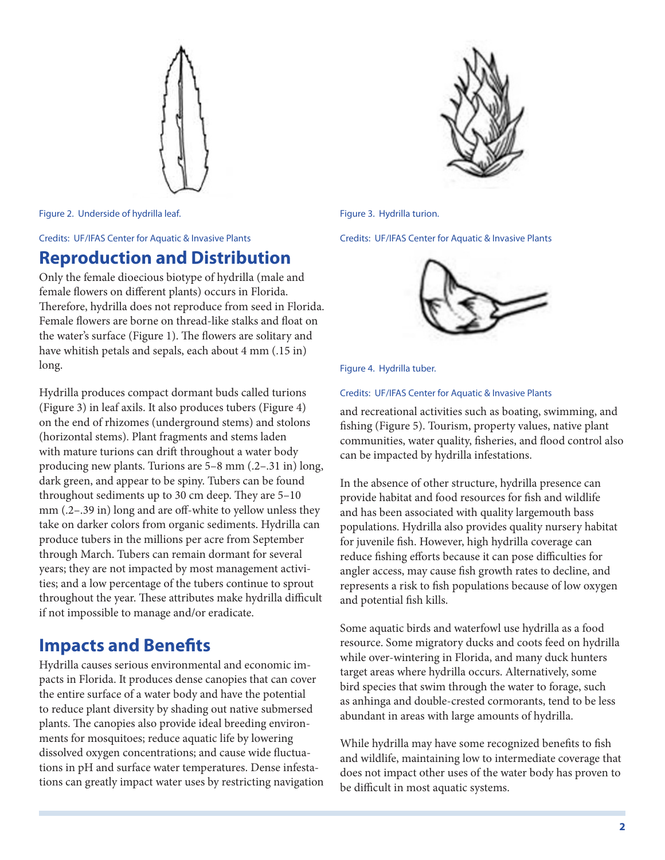

Figure 3. Hydrilla turion.

Credits: UF/IFAS Center for Aquatic & Invasive Plants



Figure 4. Hydrilla tuber.

#### Credits: UF/IFAS Center for Aquatic & Invasive Plants

and recreational activities such as boating, swimming, and fishing (Figure 5). Tourism, property values, native plant communities, water quality, fisheries, and flood control also can be impacted by hydrilla infestations.

In the absence of other structure, hydrilla presence can provide habitat and food resources for fish and wildlife and has been associated with quality largemouth bass populations. Hydrilla also provides quality nursery habitat for juvenile fish. However, high hydrilla coverage can reduce fishing efforts because it can pose difficulties for angler access, may cause fish growth rates to decline, and represents a risk to fish populations because of low oxygen and potential fish kills.

Some aquatic birds and waterfowl use hydrilla as a food resource. Some migratory ducks and coots feed on hydrilla while over-wintering in Florida, and many duck hunters target areas where hydrilla occurs. Alternatively, some bird species that swim through the water to forage, such as anhinga and double-crested cormorants, tend to be less abundant in areas with large amounts of hydrilla.

While hydrilla may have some recognized benefits to fish and wildlife, maintaining low to intermediate coverage that does not impact other uses of the water body has proven to be difficult in most aquatic systems.

Figure 2. Underside of hydrilla leaf.

Credits: UF/IFAS Center for Aquatic & Invasive Plants

#### **Reproduction and Distribution**

Only the female dioecious biotype of hydrilla (male and female flowers on different plants) occurs in Florida. Therefore, hydrilla does not reproduce from seed in Florida. Female flowers are borne on thread-like stalks and float on the water's surface (Figure 1). The flowers are solitary and have whitish petals and sepals, each about 4 mm (.15 in) long.

Hydrilla produces compact dormant buds called turions (Figure 3) in leaf axils. It also produces tubers (Figure 4) on the end of rhizomes (underground stems) and stolons (horizontal stems). Plant fragments and stems laden with mature turions can drift throughout a water body producing new plants. Turions are 5–8 mm (.2–.31 in) long, dark green, and appear to be spiny. Tubers can be found throughout sediments up to 30 cm deep. They are 5–10 mm (.2–.39 in) long and are off-white to yellow unless they take on darker colors from organic sediments. Hydrilla can produce tubers in the millions per acre from September through March. Tubers can remain dormant for several years; they are not impacted by most management activities; and a low percentage of the tubers continue to sprout throughout the year. These attributes make hydrilla difficult if not impossible to manage and/or eradicate.

### **Impacts and Benefits**

Hydrilla causes serious environmental and economic impacts in Florida. It produces dense canopies that can cover the entire surface of a water body and have the potential to reduce plant diversity by shading out native submersed plants. The canopies also provide ideal breeding environments for mosquitoes; reduce aquatic life by lowering dissolved oxygen concentrations; and cause wide fluctuations in pH and surface water temperatures. Dense infestations can greatly impact water uses by restricting navigation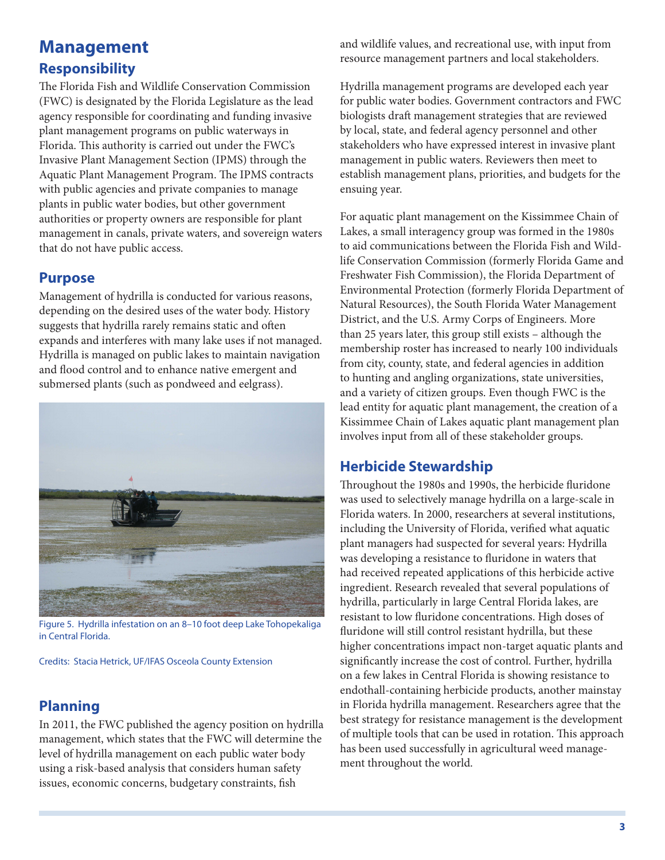## **Management Responsibility**

The Florida Fish and Wildlife Conservation Commission (FWC) is designated by the Florida Legislature as the lead agency responsible for coordinating and funding invasive plant management programs on public waterways in Florida. This authority is carried out under the FWC's Invasive Plant Management Section (IPMS) through the Aquatic Plant Management Program. The IPMS contracts with public agencies and private companies to manage plants in public water bodies, but other government authorities or property owners are responsible for plant management in canals, private waters, and sovereign waters that do not have public access.

#### **Purpose**

Management of hydrilla is conducted for various reasons, depending on the desired uses of the water body. History suggests that hydrilla rarely remains static and often expands and interferes with many lake uses if not managed. Hydrilla is managed on public lakes to maintain navigation and flood control and to enhance native emergent and submersed plants (such as pondweed and eelgrass).



Figure 5. Hydrilla infestation on an 8–10 foot deep Lake Tohopekaliga in Central Florida.

Credits: Stacia Hetrick, UF/IFAS Osceola County Extension

### **Planning**

In 2011, the FWC published the agency position on hydrilla management, which states that the FWC will determine the level of hydrilla management on each public water body using a risk-based analysis that considers human safety issues, economic concerns, budgetary constraints, fish

and wildlife values, and recreational use, with input from resource management partners and local stakeholders.

Hydrilla management programs are developed each year for public water bodies. Government contractors and FWC biologists draft management strategies that are reviewed by local, state, and federal agency personnel and other stakeholders who have expressed interest in invasive plant management in public waters. Reviewers then meet to establish management plans, priorities, and budgets for the ensuing year.

For aquatic plant management on the Kissimmee Chain of Lakes, a small interagency group was formed in the 1980s to aid communications between the Florida Fish and Wildlife Conservation Commission (formerly Florida Game and Freshwater Fish Commission), the Florida Department of Environmental Protection (formerly Florida Department of Natural Resources), the South Florida Water Management District, and the U.S. Army Corps of Engineers. More than 25 years later, this group still exists – although the membership roster has increased to nearly 100 individuals from city, county, state, and federal agencies in addition to hunting and angling organizations, state universities, and a variety of citizen groups. Even though FWC is the lead entity for aquatic plant management, the creation of a Kissimmee Chain of Lakes aquatic plant management plan involves input from all of these stakeholder groups.

#### **Herbicide Stewardship**

Throughout the 1980s and 1990s, the herbicide fluridone was used to selectively manage hydrilla on a large-scale in Florida waters. In 2000, researchers at several institutions, including the University of Florida, verified what aquatic plant managers had suspected for several years: Hydrilla was developing a resistance to fluridone in waters that had received repeated applications of this herbicide active ingredient. Research revealed that several populations of hydrilla, particularly in large Central Florida lakes, are resistant to low fluridone concentrations. High doses of fluridone will still control resistant hydrilla, but these higher concentrations impact non-target aquatic plants and significantly increase the cost of control. Further, hydrilla on a few lakes in Central Florida is showing resistance to endothall-containing herbicide products, another mainstay in Florida hydrilla management. Researchers agree that the best strategy for resistance management is the development of multiple tools that can be used in rotation. This approach has been used successfully in agricultural weed management throughout the world.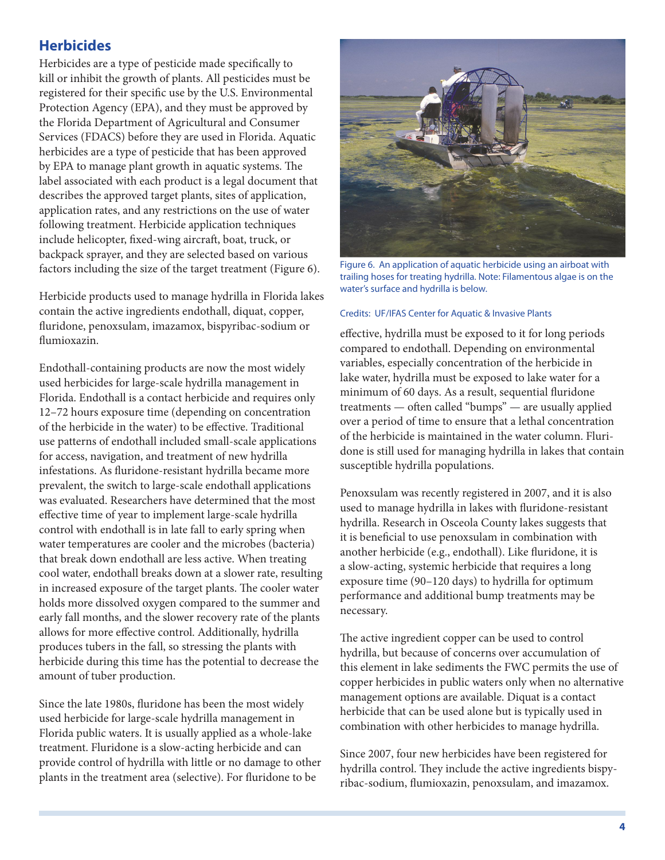#### **Herbicides**

Herbicides are a type of pesticide made specifically to kill or inhibit the growth of plants. All pesticides must be registered for their specific use by the U.S. Environmental Protection Agency (EPA), and they must be approved by the Florida Department of Agricultural and Consumer Services (FDACS) before they are used in Florida. Aquatic herbicides are a type of pesticide that has been approved by EPA to manage plant growth in aquatic systems. The label associated with each product is a legal document that describes the approved target plants, sites of application, application rates, and any restrictions on the use of water following treatment. Herbicide application techniques include helicopter, fixed-wing aircraft, boat, truck, or backpack sprayer, and they are selected based on various factors including the size of the target treatment (Figure 6).

Herbicide products used to manage hydrilla in Florida lakes contain the active ingredients endothall, diquat, copper, fluridone, penoxsulam, imazamox, bispyribac-sodium or flumioxazin.

Endothall-containing products are now the most widely used herbicides for large-scale hydrilla management in Florida. Endothall is a contact herbicide and requires only 12–72 hours exposure time (depending on concentration of the herbicide in the water) to be effective. Traditional use patterns of endothall included small-scale applications for access, navigation, and treatment of new hydrilla infestations. As fluridone-resistant hydrilla became more prevalent, the switch to large-scale endothall applications was evaluated. Researchers have determined that the most effective time of year to implement large-scale hydrilla control with endothall is in late fall to early spring when water temperatures are cooler and the microbes (bacteria) that break down endothall are less active. When treating cool water, endothall breaks down at a slower rate, resulting in increased exposure of the target plants. The cooler water holds more dissolved oxygen compared to the summer and early fall months, and the slower recovery rate of the plants allows for more effective control. Additionally, hydrilla produces tubers in the fall, so stressing the plants with herbicide during this time has the potential to decrease the amount of tuber production.

Since the late 1980s, fluridone has been the most widely used herbicide for large-scale hydrilla management in Florida public waters. It is usually applied as a whole-lake treatment. Fluridone is a slow-acting herbicide and can provide control of hydrilla with little or no damage to other plants in the treatment area (selective). For fluridone to be



Figure 6. An application of aquatic herbicide using an airboat with trailing hoses for treating hydrilla. Note: Filamentous algae is on the water's surface and hydrilla is below.

#### Credits: UF/IFAS Center for Aquatic & Invasive Plants

effective, hydrilla must be exposed to it for long periods compared to endothall. Depending on environmental variables, especially concentration of the herbicide in lake water, hydrilla must be exposed to lake water for a minimum of 60 days. As a result, sequential fluridone treatments — often called "bumps" — are usually applied over a period of time to ensure that a lethal concentration of the herbicide is maintained in the water column. Fluridone is still used for managing hydrilla in lakes that contain susceptible hydrilla populations.

Penoxsulam was recently registered in 2007, and it is also used to manage hydrilla in lakes with fluridone-resistant hydrilla. Research in Osceola County lakes suggests that it is beneficial to use penoxsulam in combination with another herbicide (e.g., endothall). Like fluridone, it is a slow-acting, systemic herbicide that requires a long exposure time (90–120 days) to hydrilla for optimum performance and additional bump treatments may be necessary.

The active ingredient copper can be used to control hydrilla, but because of concerns over accumulation of this element in lake sediments the FWC permits the use of copper herbicides in public waters only when no alternative management options are available. Diquat is a contact herbicide that can be used alone but is typically used in combination with other herbicides to manage hydrilla.

Since 2007, four new herbicides have been registered for hydrilla control. They include the active ingredients bispyribac-sodium, flumioxazin, penoxsulam, and imazamox.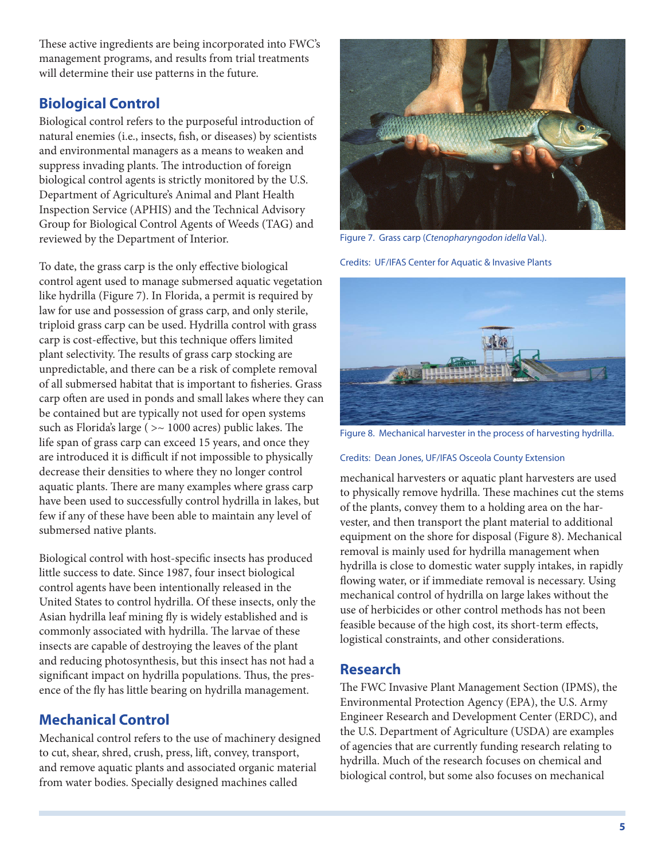These active ingredients are being incorporated into FWC's management programs, and results from trial treatments will determine their use patterns in the future.

### **Biological Control**

Biological control refers to the purposeful introduction of natural enemies (i.e., insects, fish, or diseases) by scientists and environmental managers as a means to weaken and suppress invading plants. The introduction of foreign biological control agents is strictly monitored by the U.S. Department of Agriculture's Animal and Plant Health Inspection Service (APHIS) and the Technical Advisory Group for Biological Control Agents of Weeds (TAG) and reviewed by the Department of Interior.

To date, the grass carp is the only effective biological control agent used to manage submersed aquatic vegetation like hydrilla (Figure 7). In Florida, a permit is required by law for use and possession of grass carp, and only sterile, triploid grass carp can be used. Hydrilla control with grass carp is cost-effective, but this technique offers limited plant selectivity. The results of grass carp stocking are unpredictable, and there can be a risk of complete removal of all submersed habitat that is important to fisheries. Grass carp often are used in ponds and small lakes where they can be contained but are typically not used for open systems such as Florida's large ( >~ 1000 acres) public lakes. The life span of grass carp can exceed 15 years, and once they are introduced it is difficult if not impossible to physically decrease their densities to where they no longer control aquatic plants. There are many examples where grass carp have been used to successfully control hydrilla in lakes, but few if any of these have been able to maintain any level of submersed native plants.

Biological control with host-specific insects has produced little success to date. Since 1987, four insect biological control agents have been intentionally released in the United States to control hydrilla. Of these insects, only the Asian hydrilla leaf mining fly is widely established and is commonly associated with hydrilla. The larvae of these insects are capable of destroying the leaves of the plant and reducing photosynthesis, but this insect has not had a significant impact on hydrilla populations. Thus, the presence of the fly has little bearing on hydrilla management.

### **Mechanical Control**

Mechanical control refers to the use of machinery designed to cut, shear, shred, crush, press, lift, convey, transport, and remove aquatic plants and associated organic material from water bodies. Specially designed machines called



Figure 7. Grass carp (*Ctenopharyngodon idella* Val.).

Credits: UF/IFAS Center for Aquatic & Invasive Plants



Figure 8. Mechanical harvester in the process of harvesting hydrilla.

#### Credits: Dean Jones, UF/IFAS Osceola County Extension

mechanical harvesters or aquatic plant harvesters are used to physically remove hydrilla. These machines cut the stems of the plants, convey them to a holding area on the harvester, and then transport the plant material to additional equipment on the shore for disposal (Figure 8). Mechanical removal is mainly used for hydrilla management when hydrilla is close to domestic water supply intakes, in rapidly flowing water, or if immediate removal is necessary. Using mechanical control of hydrilla on large lakes without the use of herbicides or other control methods has not been feasible because of the high cost, its short-term effects, logistical constraints, and other considerations.

#### **Research**

The FWC Invasive Plant Management Section (IPMS), the Environmental Protection Agency (EPA), the U.S. Army Engineer Research and Development Center (ERDC), and the U.S. Department of Agriculture (USDA) are examples of agencies that are currently funding research relating to hydrilla. Much of the research focuses on chemical and biological control, but some also focuses on mechanical